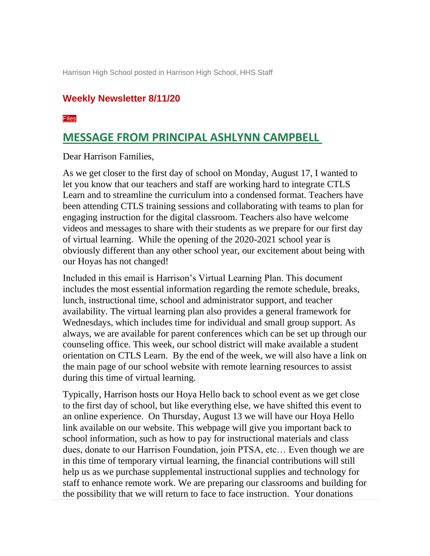Harrison High School posted in Harrison High School, HHS Staff

#### **Weekly Newsletter 8/11/20**

#### [Files](https://cobbk12.parentsquare.com/feeds/3685779?key=QbpP1gvBBnaVFfbMy9xZRw&token=0hCxB6TUiaNahAWs0jBOMg#feed_3685779_extras)

#### **MESSAGE FROM PRINCIPAL ASHLYNN CAMPBELL**

Dear Harrison Families,

As we get closer to the first day of school on Monday, August 17, I wanted to let you know that our teachers and staff are working hard to integrate CTLS Learn and to streamline the curriculum into a condensed format. Teachers have been attending CTLS training sessions and collaborating with teams to plan for engaging instruction for the digital classroom. Teachers also have welcome videos and messages to share with their students as we prepare for our first day of virtual learning. While the opening of the 2020-2021 school year is obviously different than any other school year, our excitement about being with our Hoyas has not changed!

Included in this email is Harrison's Virtual Learning Plan. This document includes the most essential information regarding the remote schedule, breaks, lunch, instructional time, school and administrator support, and teacher availability. The virtual learning plan also provides a general framework for Wednesdays, which includes time for individual and small group support. As always, we are available for parent conferences which can be set up through our counseling office. This week, our school district will make available a student orientation on CTLS Learn. By the end of the week, we will also have a link on the main page of our school website with remote learning resources to assist during this time of virtual learning.

Typically, Harrison hosts our Hoya Hello back to school event as we get close to the first day of school, but like everything else, we have shifted this event to an online experience. On Thursday, August 13 we will have our Hoya Hello link available on our website. This webpage will give you important back to school information, such as how to pay for instructional materials and class dues, donate to our Harrison Foundation, join PTSA, etc… Even though we are in this time of temporary virtual learning, the financial contributions will still help us as we purchase supplemental instructional supplies and technology for staff to enhance remote work. We are preparing our classrooms and building for the possibility that we will return to face to face instruction. Your donations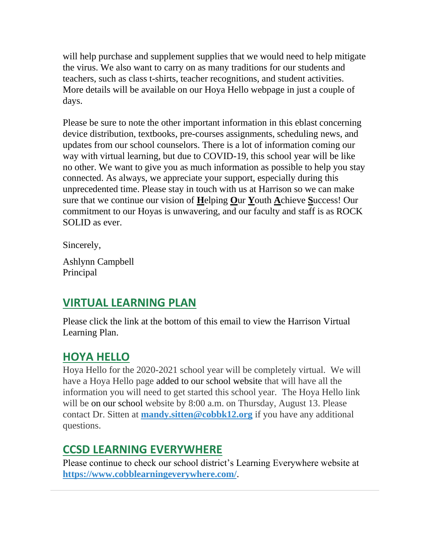will help purchase and supplement supplies that we would need to help mitigate the virus. We also want to carry on as many traditions for our students and teachers, such as class t-shirts, teacher recognitions, and student activities. More details will be available on our Hoya Hello webpage in just a couple of days.

Please be sure to note the other important information in this eblast concerning device distribution, textbooks, pre-courses assignments, scheduling news, and updates from our school counselors. There is a lot of information coming our way with virtual learning, but due to COVID-19, this school year will be like no other. We want to give you as much information as possible to help you stay connected. As always, we appreciate your support, especially during this unprecedented time. Please stay in touch with us at Harrison so we can make sure that we continue our vision of **H**elping **O**ur **Y**outh **A**chieve **S**uccess! Our commitment to our Hoyas is unwavering, and our faculty and staff is as ROCK SOLID as ever.

Sincerely,

Ashlynn Campbell Principal

## **VIRTUAL LEARNING PLAN**

Please click the link at the bottom of this email to view the Harrison Virtual Learning Plan.

## **HOYA HELLO**

Hoya Hello for the 2020-2021 school year will be completely virtual. We will have a Hoya Hello page added to our school website that will have all the information you will need to get started this school year. The Hoya Hello link will be on our school website by 8:00 a.m. on Thursday, August 13. Please contact Dr. Sitten at **[mandy.sitten@cobbk12.org](mailto:mandy.sitten@cobbk12.org)** if you have any additional questions.

# **CCSD LEARNING EVERYWHERE**

Please continue to check our school district's Learning Everywhere website at **<https://www.cobblearningeverywhere.com/>**.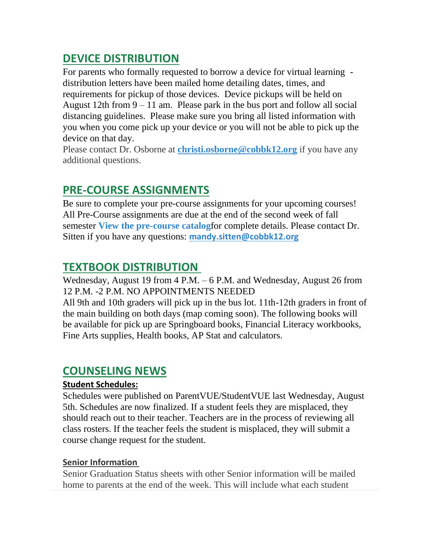## **DEVICE DISTRIBUTION**

For parents who formally requested to borrow a device for virtual learning distribution letters have been mailed home detailing dates, times, and requirements for pickup of those devices. Device pickups will be held on August 12th from  $9 - 11$  am. Please park in the bus port and follow all social distancing guidelines. Please make sure you bring all listed information with you when you come pick up your device or you will not be able to pick up the device on that day.

Please contact Dr. Osborne at **[christi.osborne@cobbk12.org](mailto:christi.osborne@cobbk12.org)** if you have any additional questions.

## **PRE-COURSE ASSIGNMENTS**

Be sure to complete your pre-course assignments for your upcoming courses! All Pre-Course assignments are due at the end of the second week of fall semester **[View the pre-course catalog](https://drive.google.com/file/d/1MybKtV505TzvtpuKLEqRNa7g04JFG_rY/view?usp=sharing)**for complete details. Please contact Dr. Sitten if you have any questions: **[mandy.sitten@cobbk12.org](https://www.parentsquare.com/feeds/3641893/mandy.sitten@cobbk12.org)**

## **TEXTBOOK DISTRIBUTION**

Wednesday, August 19 from 4 P.M. – 6 P.M. and Wednesday, August 26 from 12 P.M. -2 P.M. NO APPOINTMENTS NEEDED

All 9th and 10th graders will pick up in the bus lot. 11th-12th graders in front of the main building on both days (map coming soon). The following books will be available for pick up are Springboard books, Financial Literacy workbooks, Fine Arts supplies, Health books, AP Stat and calculators.

### **COUNSELING NEWS**

#### **Student Schedules:**

Schedules were published on ParentVUE/StudentVUE last Wednesday, August 5th. Schedules are now finalized. If a student feels they are misplaced, they should reach out to their teacher. Teachers are in the process of reviewing all class rosters. If the teacher feels the student is misplaced, they will submit a course change request for the student.

#### **Senior Information**

Senior Graduation Status sheets with other Senior information will be mailed home to parents at the end of the week. This will include what each student